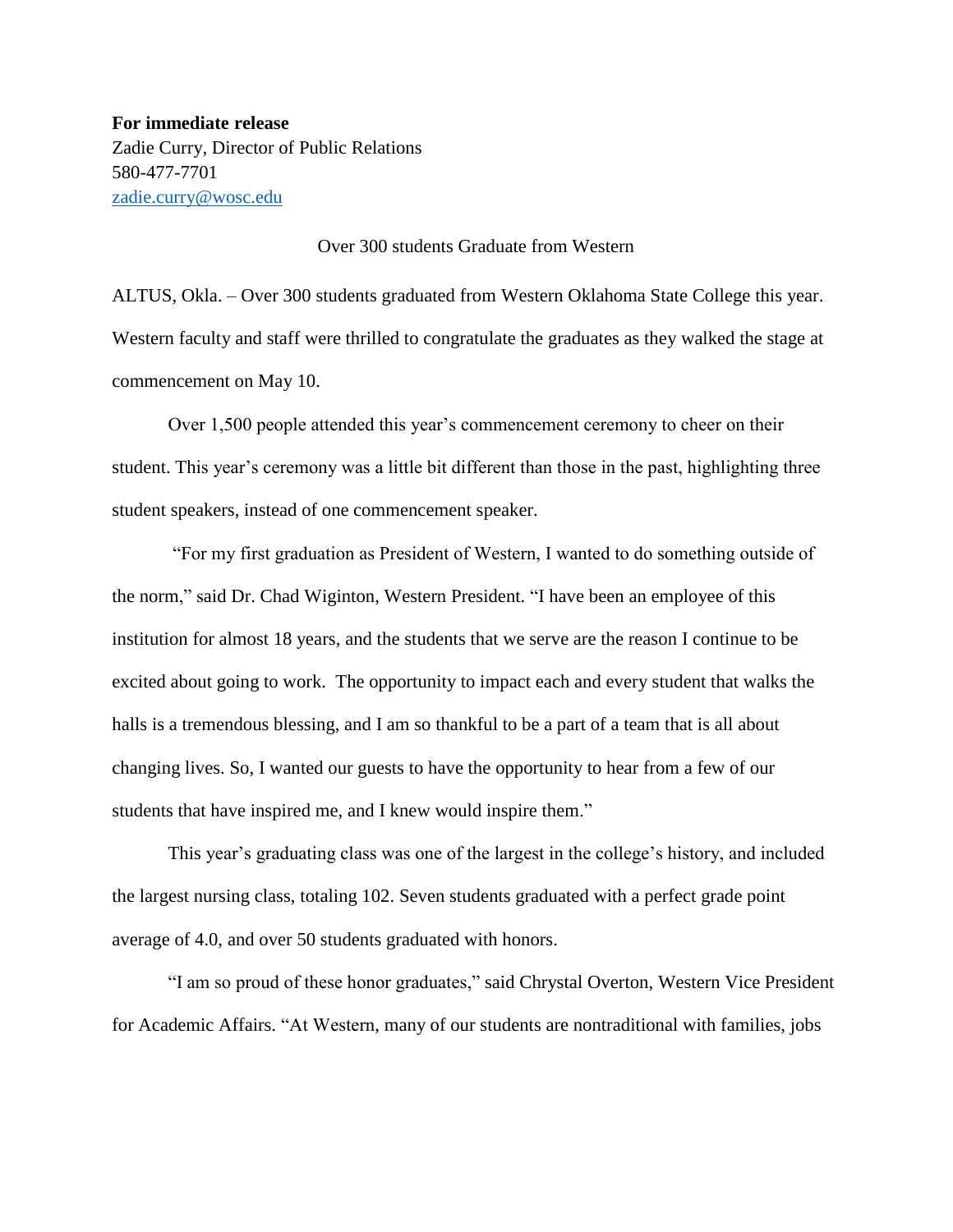**For immediate release** Zadie Curry, Director of Public Relations 580-477-7701 [zadie.curry@wosc.edu](mailto:zadie.curry@wosc.edu)

## Over 300 students Graduate from Western

ALTUS, Okla. – Over 300 students graduated from Western Oklahoma State College this year. Western faculty and staff were thrilled to congratulate the graduates as they walked the stage at commencement on May 10.

Over 1,500 people attended this year's commencement ceremony to cheer on their student. This year's ceremony was a little bit different than those in the past, highlighting three student speakers, instead of one commencement speaker.

"For my first graduation as President of Western, I wanted to do something outside of the norm," said Dr. Chad Wiginton, Western President. "I have been an employee of this institution for almost 18 years, and the students that we serve are the reason I continue to be excited about going to work. The opportunity to impact each and every student that walks the halls is a tremendous blessing, and I am so thankful to be a part of a team that is all about changing lives. So, I wanted our guests to have the opportunity to hear from a few of our students that have inspired me, and I knew would inspire them."

This year's graduating class was one of the largest in the college's history, and included the largest nursing class, totaling 102. Seven students graduated with a perfect grade point average of 4.0, and over 50 students graduated with honors.

"I am so proud of these honor graduates," said Chrystal Overton, Western Vice President for Academic Affairs. "At Western, many of our students are nontraditional with families, jobs